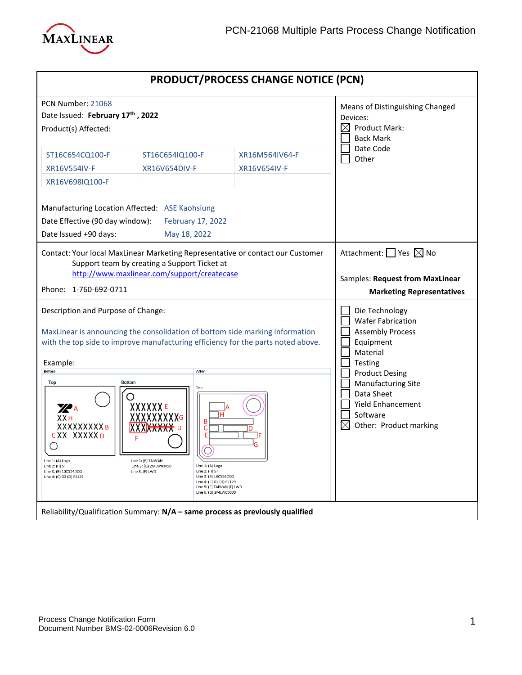

| <b>PRODUCT/PROCESS CHANGE NOTICE (PCN)</b>                                                                                                                                                                                                      |  |  |
|-------------------------------------------------------------------------------------------------------------------------------------------------------------------------------------------------------------------------------------------------|--|--|
| Means of Distinguishing Changed<br>Devices:<br>$\boxtimes$<br><b>Product Mark:</b><br><b>Back Mark</b>                                                                                                                                          |  |  |
| Date Code<br>Other                                                                                                                                                                                                                              |  |  |
| Attachment: $\Box$ Yes $\boxtimes$ No<br>Samples: Request from MaxLinear<br><b>Marketing Representatives</b>                                                                                                                                    |  |  |
| Die Technology<br><b>Wafer Fabrication</b><br><b>Assembly Process</b><br>Equipment<br>Material<br>Testing<br><b>Product Desing</b><br><b>Manufacturing Site</b><br>Data Sheet<br><b>Yield Enhancement</b><br>Software<br>Other: Product marking |  |  |
| Contact: Your local MaxLinear Marketing Representative or contact our Customer<br>with the top side to improve manufacturing efficiency for the parts noted above.                                                                              |  |  |